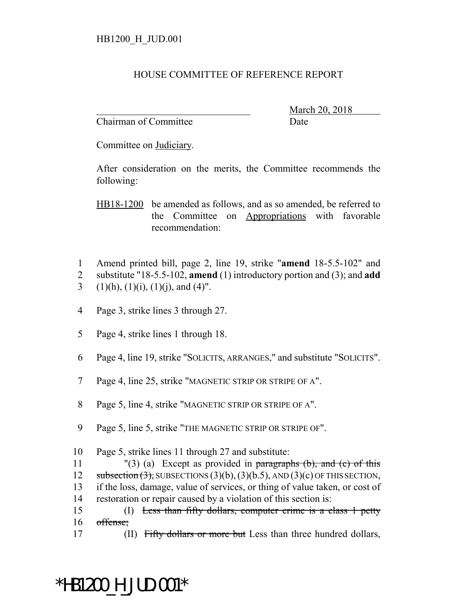## HOUSE COMMITTEE OF REFERENCE REPORT

Chairman of Committee Date

\_\_\_\_\_\_\_\_\_\_\_\_\_\_\_\_\_\_\_\_\_\_\_\_\_\_\_\_\_\_\_ March 20, 2018

Committee on Judiciary.

After consideration on the merits, the Committee recommends the following:

HB18-1200 be amended as follows, and as so amended, be referred to the Committee on Appropriations with favorable recommendation:

- 1 Amend printed bill, page 2, line 19, strike "**amend** 18-5.5-102" and 2 substitute "18-5.5-102, **amend** (1) introductory portion and (3); and **add**
- 3 (1)(h), (1)(i), (1)(j), and (4)".
- 4 Page 3, strike lines 3 through 27.
- 5 Page 4, strike lines 1 through 18.
- 6 Page 4, line 19, strike "SOLICITS, ARRANGES," and substitute "SOLICITS".
- 7 Page 4, line 25, strike "MAGNETIC STRIP OR STRIPE OF A".
- 8 Page 5, line 4, strike "MAGNETIC STRIP OR STRIPE OF A".
- 9 Page 5, line 5, strike "THE MAGNETIC STRIP OR STRIPE OF".
- 10 Page 5, strike lines 11 through 27 and substitute:
- 11  $\qquad$  "(3) (a) Except as provided in paragraphs (b), and (c) of this 12 subsection  $(3)$ , SUBSECTIONS  $(3)(b)$ ,  $(3)(b.5)$ , AND  $(3)(c)$  OF THIS SECTION, 13 if the loss, damage, value of services, or thing of value taken, or cost of 14 restoration or repair caused by a violation of this section is:
- 15 (I) Less than fifty dollars, computer crime is a class 1 petty 16 offense;
- 17 (II) Fifty dollars or more but Less than three hundred dollars,

## \*HB1200\_H\_JUD.001\*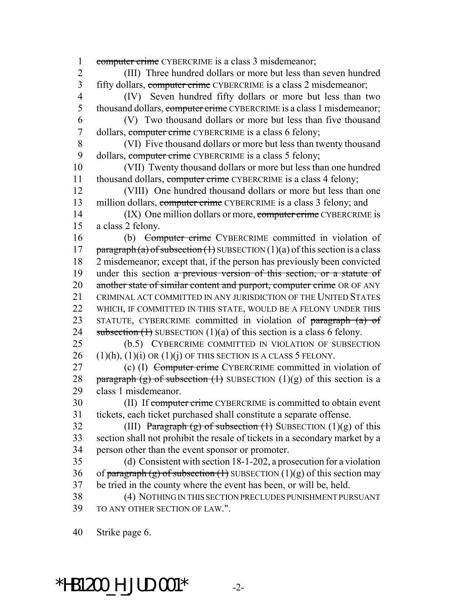1 computer crime CYBERCRIME is a class 3 misdemeanor; 2 (III) Three hundred dollars or more but less than seven hundred 3 fifty dollars, computer crime CYBERCRIME is a class 2 misdemeanor; 4 (IV) Seven hundred fifty dollars or more but less than two 5 thousand dollars, computer crime CYBERCRIME is a class 1 misdemeanor; 6 (V) Two thousand dollars or more but less than five thousand 7 dollars, computer crime CYBERCRIME is a class 6 felony; 8 (VI) Five thousand dollars or more but less than twenty thousand 9 dollars, computer crime CYBERCRIME is a class 5 felony; 10 (VII) Twenty thousand dollars or more but less than one hundred 11 thousand dollars, computer crime CYBERCRIME is a class 4 felony; 12 (VIII) One hundred thousand dollars or more but less than one 13 million dollars, computer crime CYBERCRIME is a class 3 felony; and 14 (IX) One million dollars or more, computer crime CYBERCRIME is 15 a class 2 felony. 16 (b) Computer crime CYBERCRIME committed in violation of 17 paragraph (a) of subsection  $(1)$  SUBSECTION  $(1)(a)$  of this section is a class 18 2 misdemeanor; except that, if the person has previously been convicted 19 under this section a previous version of this section, or a statute of 20 another state of similar content and purport, computer crime OR OF ANY 21 CRIMINAL ACT COMMITTED IN ANY JURISDICTION OF THE UNITED STATES 22 WHICH, IF COMMITTED IN THIS STATE, WOULD BE A FELONY UNDER THIS 23 STATUTE, CYBERCRIME committed in violation of paragraph (a) of 24 subsection  $(1)$  SUBSECTION  $(1)(a)$  of this section is a class 6 felony. 25 (b.5) CYBERCRIME COMMITTED IN VIOLATION OF SUBSECTION 26  $(1)(h)$ ,  $(1)(i)$  OR  $(1)(j)$  OF THIS SECTION IS A CLASS 5 FELONY. 27 (c) (I) Computer crime CYBERCRIME committed in violation of 28 paragraph (g) of subsection  $(1)$  SUBSECTION  $(1)(g)$  of this section is a 29 class 1 misdemeanor. 30 (II) If computer crime CYBERCRIME is committed to obtain event 31 tickets, each ticket purchased shall constitute a separate offense. 32 (III) Paragraph (g) of subsection  $(1)$  SUBSECTION  $(1)(g)$  of this 33 section shall not prohibit the resale of tickets in a secondary market by a 34 person other than the event sponsor or promoter. 35 (d) Consistent with section 18-1-202, a prosecution for a violation 36 of paragraph (g) of subsection (1) SUBSECTION (1)(g) of this section may 37 be tried in the county where the event has been, or will be, held. 38 (4) NOTHING IN THIS SECTION PRECLUDES PUNISHMENT PURSUANT 39 TO ANY OTHER SECTION OF LAW.". 40 Strike page 6.

 $*$ HB1200 H JUD.001 $*$  -2-